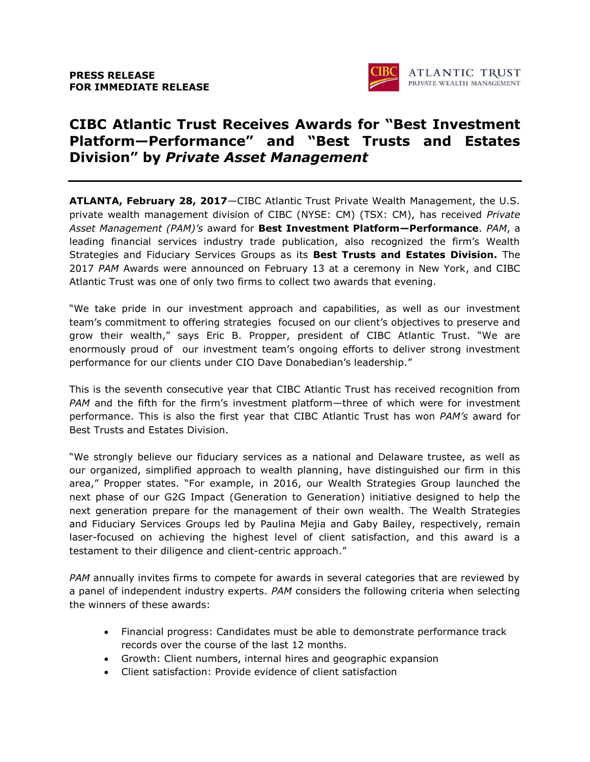

# **CIBC Atlantic Trust Receives Awards for "Best Investment Platform—Performance" and "Best Trusts and Estates Division" by** *Private Asset Management*

**ATLANTA, February 28, 2017**—CIBC Atlantic Trust Private Wealth Management, the U.S. private wealth management division of CIBC (NYSE: CM) (TSX: CM), has received *Private Asset Management (PAM)'s* award for **Best Investment Platform—Performance**. *PAM*, a leading financial services industry trade publication, also recognized the firm's Wealth Strategies and Fiduciary Services Groups as its **Best Trusts and Estates Division.** The 2017 *PAM* Awards were announced on February 13 at a ceremony in New York, and CIBC Atlantic Trust was one of only two firms to collect two awards that evening.

"We take pride in our investment approach and capabilities, as well as our investment team's commitment to offering strategies focused on our client's objectives to preserve and grow their wealth," says Eric B. Propper, president of CIBC Atlantic Trust. "We are enormously proud of our investment team's ongoing efforts to deliver strong investment performance for our clients under CIO Dave Donabedian's leadership."

This is the seventh consecutive year that CIBC Atlantic Trust has received recognition from *PAM* and the fifth for the firm's investment platform—three of which were for investment performance. This is also the first year that CIBC Atlantic Trust has won *PAM's* award for Best Trusts and Estates Division.

"We strongly believe our fiduciary services as a national and Delaware trustee, as well as our organized, simplified approach to wealth planning, have distinguished our firm in this area," Propper states. "For example, in 2016, our Wealth Strategies Group launched the next phase of our G2G Impact (Generation to Generation) initiative designed to help the next generation prepare for the management of their own wealth. The Wealth Strategies and Fiduciary Services Groups led by Paulina Mejia and Gaby Bailey, respectively, remain laser-focused on achieving the highest level of client satisfaction, and this award is a testament to their diligence and client-centric approach."

*PAM* annually invites firms to compete for awards in several categories that are reviewed by a panel of independent industry experts. *PAM* considers the following criteria when selecting the winners of these awards:

- Financial progress: Candidates must be able to demonstrate performance track records over the course of the last 12 months.
- Growth: Client numbers, internal hires and geographic expansion
- Client satisfaction: Provide evidence of client satisfaction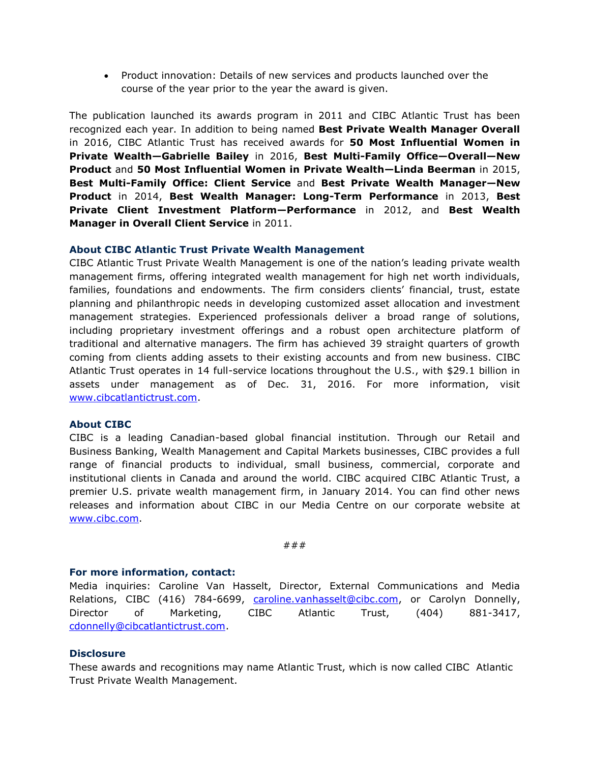Product innovation: Details of new services and products launched over the course of the year prior to the year the award is given.

The publication launched its awards program in 2011 and CIBC Atlantic Trust has been recognized each year. In addition to being named **Best Private Wealth Manager Overall** in 2016, CIBC Atlantic Trust has received awards for **50 Most Influential Women in Private Wealth—Gabrielle Bailey** in 2016, **Best Multi-Family Office—Overall—New Product** and **50 Most Influential Women in Private Wealth—Linda Beerman** in 2015, **Best Multi-Family Office: Client Service** and **Best Private Wealth Manager—New Product** in 2014, **Best Wealth Manager: Long-Term Performance** in 2013, **Best Private Client Investment Platform—Performance** in 2012, and **Best Wealth Manager in Overall Client Service** in 2011.

## **About CIBC Atlantic Trust Private Wealth Management**

CIBC Atlantic Trust Private Wealth Management is one of the nation's leading private wealth management firms, offering integrated wealth management for high net worth individuals, families, foundations and endowments. The firm considers clients' financial, trust, estate planning and philanthropic needs in developing customized asset allocation and investment management strategies. Experienced professionals deliver a broad range of solutions, including proprietary investment offerings and a robust open architecture platform of traditional and alternative managers. The firm has achieved 39 straight quarters of growth coming from clients adding assets to their existing accounts and from new business. CIBC Atlantic Trust operates in 14 full-service locations throughout the U.S., with \$29.1 billion in assets under management as of Dec. 31, 2016. For more information, visit [www.cibcatlantictrust.com.](http://www.cibcatlantictrust.com/)

### **About CIBC**

CIBC is a leading Canadian-based global financial institution. Through our Retail and Business Banking, Wealth Management and Capital Markets businesses, CIBC provides a full range of financial products to individual, small business, commercial, corporate and institutional clients in Canada and around the world. CIBC acquired CIBC Atlantic Trust, a premier U.S. private wealth management firm, in January 2014. You can find other news releases and information about CIBC in our Media Centre on our corporate website at [www.cibc.com.](http://www.cibc.com/)

###

### **For more information, contact:**

Media inquiries: Caroline Van Hasselt, Director, External Communications and Media Relations, CIBC (416) 784-6699, [caroline.vanhasselt@cibc.com,](mailto:Caroline.VanHasselt@cibc.com) or Carolyn Donnelly, Director of Marketing, CIBC Atlantic Trust, (404) 881-3417, [cdonnelly@cibcatlantictrust.com.](mailto:cdonnelly@cibcatlantictrust.com)

### **Disclosure**

These awards and recognitions may name Atlantic Trust, which is now called CIBC Atlantic Trust Private Wealth Management.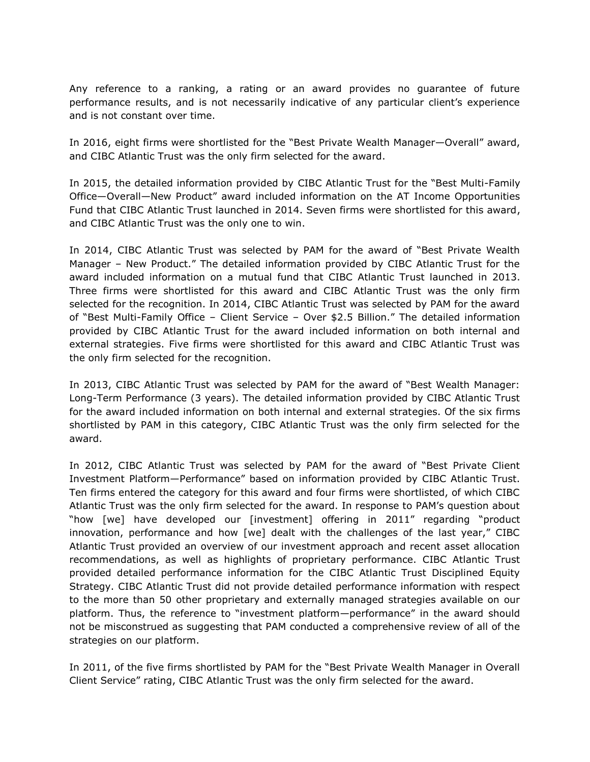Any reference to a ranking, a rating or an award provides no guarantee of future performance results, and is not necessarily indicative of any particular client's experience and is not constant over time.

In 2016, eight firms were shortlisted for the "Best Private Wealth Manager—Overall" award, and CIBC Atlantic Trust was the only firm selected for the award.

In 2015, the detailed information provided by CIBC Atlantic Trust for the "Best Multi-Family Office—Overall—New Product" award included information on the AT Income Opportunities Fund that CIBC Atlantic Trust launched in 2014. Seven firms were shortlisted for this award, and CIBC Atlantic Trust was the only one to win.

In 2014, CIBC Atlantic Trust was selected by PAM for the award of "Best Private Wealth Manager – New Product." The detailed information provided by CIBC Atlantic Trust for the award included information on a mutual fund that CIBC Atlantic Trust launched in 2013. Three firms were shortlisted for this award and CIBC Atlantic Trust was the only firm selected for the recognition. In 2014, CIBC Atlantic Trust was selected by PAM for the award of "Best Multi-Family Office – Client Service – Over \$2.5 Billion." The detailed information provided by CIBC Atlantic Trust for the award included information on both internal and external strategies. Five firms were shortlisted for this award and CIBC Atlantic Trust was the only firm selected for the recognition.

In 2013, CIBC Atlantic Trust was selected by PAM for the award of "Best Wealth Manager: Long-Term Performance (3 years). The detailed information provided by CIBC Atlantic Trust for the award included information on both internal and external strategies. Of the six firms shortlisted by PAM in this category, CIBC Atlantic Trust was the only firm selected for the award.

In 2012, CIBC Atlantic Trust was selected by PAM for the award of "Best Private Client Investment Platform—Performance" based on information provided by CIBC Atlantic Trust. Ten firms entered the category for this award and four firms were shortlisted, of which CIBC Atlantic Trust was the only firm selected for the award. In response to PAM's question about "how [we] have developed our [investment] offering in 2011" regarding "product innovation, performance and how [we] dealt with the challenges of the last year," CIBC Atlantic Trust provided an overview of our investment approach and recent asset allocation recommendations, as well as highlights of proprietary performance. CIBC Atlantic Trust provided detailed performance information for the CIBC Atlantic Trust Disciplined Equity Strategy. CIBC Atlantic Trust did not provide detailed performance information with respect to the more than 50 other proprietary and externally managed strategies available on our platform. Thus, the reference to "investment platform—performance" in the award should not be misconstrued as suggesting that PAM conducted a comprehensive review of all of the strategies on our platform.

In 2011, of the five firms shortlisted by PAM for the "Best Private Wealth Manager in Overall Client Service" rating, CIBC Atlantic Trust was the only firm selected for the award.